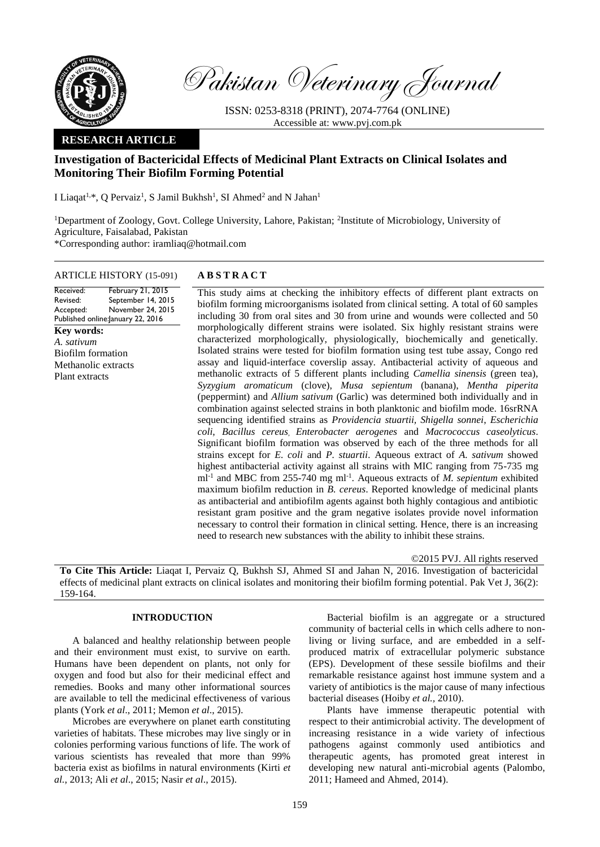

Pakistan Veterinary Journal

ISSN: 0253-8318 (PRINT), 2074-7764 (ONLINE) Accessible at: [www.pvj.com.pk](http://www.pvj.com.pk/)

## **RESEARCH ARTICLE**

# **Investigation of Bactericidal Effects of Medicinal Plant Extracts on Clinical Isolates and Monitoring Their Biofilm Forming Potential**

I Liaqat<sup>1,\*</sup>, Q Pervaiz<sup>1</sup>, S Jamil Bukhsh<sup>1</sup>, SI Ahmed<sup>2</sup> and N Jahan<sup>1</sup>

<sup>1</sup>Department of Zoology, Govt. College University, Lahore, Pakistan; <sup>2</sup>Institute of Microbiology, University of Agriculture, Faisalabad, Pakistan \*Corresponding author: iramliaq@hotmail.com

#### ARTICLE HISTORY (15-091) **A B S T R A C T**

Received: Revised: Accepted: Published online: January 22, 2016 February 21, 2015 September 14, 2015 November 24, 2015

**Key words:**  *A. sativum* Biofilm formation Methanolic extracts Plant extracts

This study aims at checking the inhibitory effects of different plant extracts on biofilm forming microorganisms isolated from clinical setting. A total of 60 samples including 30 from oral sites and 30 from urine and wounds were collected and 50 morphologically different strains were isolated. Six highly resistant strains were characterized morphologically, physiologically, biochemically and genetically. Isolated strains were tested for biofilm formation using test tube assay, Congo red assay and liquid-interface coverslip assay. Antibacterial activity of aqueous and methanolic extracts of 5 different plants including *Camellia sinensis* (green tea), *Syzygium aromaticum* (clove), *Musa sepientum* (banana), *Mentha piperita*  (peppermint) and *Allium sativum* (Garlic) was determined both individually and in combination against selected strains in both planktonic and biofilm mode. 16srRNA sequencing identified strains as *Providencia stuartii, Shigella sonnei*, *Escherichia coli*, *Bacillus cereus*, *Enterobacter aerogenes* and *Macrococcus caseolyticus*. Significant biofilm formation was observed by each of the three methods for all strains except for *E. coli* and *P. stuartii*. Aqueous extract of *A. sativum* showed highest antibacterial activity against all strains with MIC ranging from 75-735 mg ml<sup>-1</sup> and MBC from 255-740 mg ml<sup>-1</sup>. Aqueous extracts of *M. sepientum* exhibited maximum biofilm reduction in *B. cereus*. Reported knowledge of medicinal plants as antibacterial and antibiofilm agents against both highly contagious and antibiotic resistant gram positive and the gram negative isolates provide novel information necessary to control their formation in clinical setting. Hence, there is an increasing need to research new substances with the ability to inhibit these strains.

©2015 PVJ. All rights reserved

**To Cite This Article:** Liaqat I, Pervaiz Q, Bukhsh SJ, Ahmed SI and Jahan N, 2016. Investigation of bactericidal effects of medicinal plant extracts on clinical isolates and monitoring their biofilm forming potential. Pak Vet J, 36(2): 159-164.

#### **INTRODUCTION**

A balanced and healthy relationship between people and their environment must exist, to survive on earth. Humans have been dependent on plants, not only for oxygen and food but also for their medicinal effect and remedies. Books and many other informational sources are available to tell the medicinal effectiveness of various plants (York *et al*., 2011; Memon *et al*., 2015).

Microbes are everywhere on planet earth constituting varieties of habitats. These microbes may live singly or in colonies performing various functions of life. The work of various scientists has revealed that more than 99% bacteria exist as biofilms in natural environments (Kirti *et al.*, 2013; Ali *et al*., 2015; Nasir *et al*., 2015).

Bacterial biofilm is an aggregate or a structured community of bacterial cells in which cells adhere to nonliving or living surface, and are embedded in a selfproduced matrix of extracellular polymeric substance (EPS). Development of these sessile biofilms and their remarkable resistance against host immune system and a variety of antibiotics is the major cause of many infectious bacterial diseases (Hoiby *et al.,* 2010).

Plants have immense therapeutic potential with respect to their antimicrobial activity. The development of increasing resistance in a wide variety of infectious pathogens against commonly used antibiotics and therapeutic agents, has promoted great interest in developing new natural anti-microbial agents (Palombo, 2011; Hameed and Ahmed, 2014).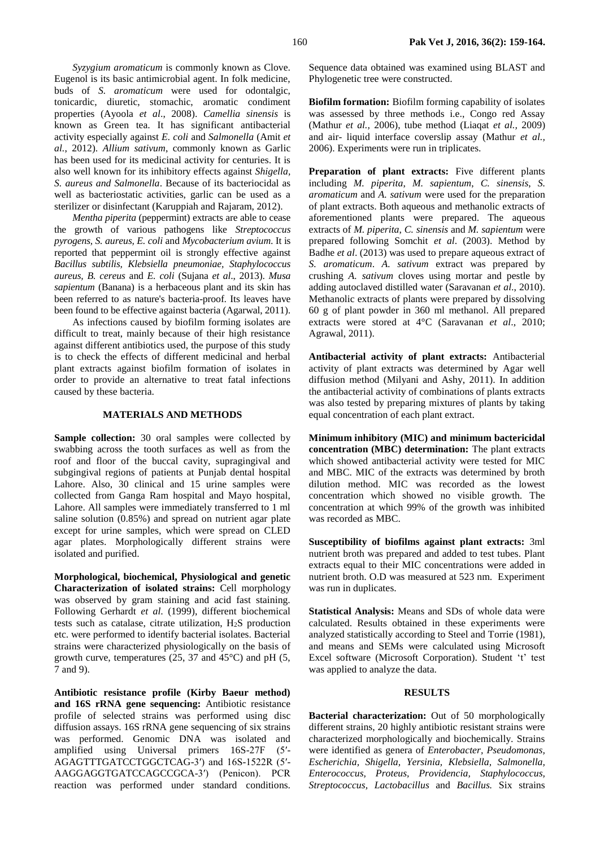*Syzygium aromaticum* is commonly known as Clove. Eugenol is its basic antimicrobial agent. In folk medicine, buds of *S. aromaticum* were used for odontalgic, tonicardic, diuretic, stomachic, aromatic condiment properties (Ayoola *et al*., 2008). *Camellia sinensis* is known as Green tea. It has significant antibacterial activity especially against *E. coli* and *Salmonella* (Amit *et al.*, 2012). *Allium sativum*, commonly known as Garlic has been used for its medicinal activity for centuries. It is also well known for its inhibitory effects against *Shigella, S. aureus and Salmonella*. Because of its bacteriocidal as well as bacteriostatic activities, garlic can be used as a sterilizer or disinfectant (Karuppiah and Rajaram, 2012).

*Mentha piperita* (peppermint) extracts are able to cease the growth of various pathogens like *Streptococcus pyrogens, S. aureus, E. coli* and *Mycobacterium avium*. It is reported that peppermint oil is strongly effective against *Bacillus subtilis, Klebsiella pneumoniae, Staphylococcus aureus, B. cereus* and *E. coli* (Sujana *et al*., 2013). *Musa sapientum* (Banana) is a herbaceous plant and its skin has been referred to as nature's bacteria-proof. Its leaves have been found to be effective against bacteria (Agarwal, 2011).

As infections caused by biofilm forming isolates are difficult to treat, mainly because of their high resistance against different antibiotics used, the purpose of this study is to check the effects of different medicinal and herbal plant extracts against biofilm formation of isolates in order to provide an alternative to treat fatal infections caused by these bacteria.

## **MATERIALS AND METHODS**

**Sample collection:** 30 oral samples were collected by swabbing across the tooth surfaces as well as from the roof and floor of the buccal cavity, supragingival and subgingival regions of patients at Punjab dental hospital Lahore. Also, 30 clinical and 15 urine samples were collected from Ganga Ram hospital and Mayo hospital, Lahore. All samples were immediately transferred to 1 ml saline solution (0.85%) and spread on nutrient agar plate except for urine samples, which were spread on CLED agar plates. Morphologically different strains were isolated and purified.

**Morphological, biochemical, Physiological and genetic Characterization of isolated strains:** Cell morphology was observed by gram staining and acid fast staining. Following Gerhardt *et al*. (1999), different biochemical tests such as catalase, citrate utilization, H2S production etc. were performed to identify bacterial isolates. Bacterial strains were characterized physiologically on the basis of growth curve, temperatures  $(25, 37, 37)$  and  $45^{\circ}$ C) and pH (5, 7 and 9).

**Antibiotic resistance profile (Kirby Baeur method) and 16S rRNA gene sequencing:** Antibiotic resistance profile of selected strains was performed using disc diffusion assays. 16S rRNA gene sequencing of six strains was performed. Genomic DNA was isolated and amplified using Universal primers 16S-27F (5′- AGAGTTTGATCCTGGCTCAG-3′) and 16S-1522R (5′- AAGGAGGTGATCCAGCCGCA-3′) (Penicon). PCR reaction was performed under standard conditions.

Sequence data obtained was examined using BLAST and Phylogenetic tree were constructed.

**Biofilm formation:** Biofilm forming capability of isolates was assessed by three methods i.e., Congo red Assay (Mathur *et al.,* 2006), tube method (Liaqat *et al.,* 2009) and air- liquid interface coverslip assay (Mathur *et al.,*  2006). Experiments were run in triplicates.

Preparation of plant extracts: Five different plants including *M. piperita*, *M. sapientum*, *C. sinensis*, *S. aromaticum* and *A. sativum* were used for the preparation of plant extracts. Both aqueous and methanolic extracts of aforementioned plants were prepared. The aqueous extracts of *M. piperita*, *C. sinensis* and *M. sapientum* were prepared following Somchit *et al*. (2003). Method by Badhe *et al*. (2013) was used to prepare aqueous extract of *S. aromaticum*. *A. sativum* extract was prepared by crushing *A. sativum* cloves using mortar and pestle by adding autoclaved distilled water (Saravanan *et al*., 2010). Methanolic extracts of plants were prepared by dissolving 60 g of plant powder in 360 ml methanol. All prepared extracts were stored at 4°C (Saravanan *et al*., 2010; Agrawal, 2011).

**Antibacterial activity of plant extracts:** Antibacterial activity of plant extracts was determined by Agar well diffusion method (Milyani and Ashy, 2011). In addition the antibacterial activity of combinations of plants extracts was also tested by preparing mixtures of plants by taking equal concentration of each plant extract.

**Minimum inhibitory (MIC) and minimum bactericidal concentration (MBC) determination:** The plant extracts which showed antibacterial activity were tested for MIC and MBC. MIC of the extracts was determined by broth dilution method. MIC was recorded as the lowest concentration which showed no visible growth. The concentration at which 99% of the growth was inhibited was recorded as MBC.

**Susceptibility of biofilms against plant extracts:** 3ml nutrient broth was prepared and added to test tubes. Plant extracts equal to their MIC concentrations were added in nutrient broth. O.D was measured at 523 nm. Experiment was run in duplicates.

**Statistical Analysis:** Means and SDs of whole data were calculated. Results obtained in these experiments were analyzed statistically according to Steel and Torrie (1981), and means and SEMs were calculated using Microsoft Excel software (Microsoft Corporation). Student 't' test was applied to analyze the data.

#### **RESULTS**

**Bacterial characterization:** Out of 50 morphologically different strains, 20 highly antibiotic resistant strains were characterized morphologically and biochemically. Strains were identified as genera of *Enterobacter, Pseudomonas, Escherichia, Shigella, Yersinia, Klebsiella, Salmonella, Enterococcus, Proteus, Providencia, Staphylococcus, Streptococcus, Lactobacillus* and *Bacillus.* Six strains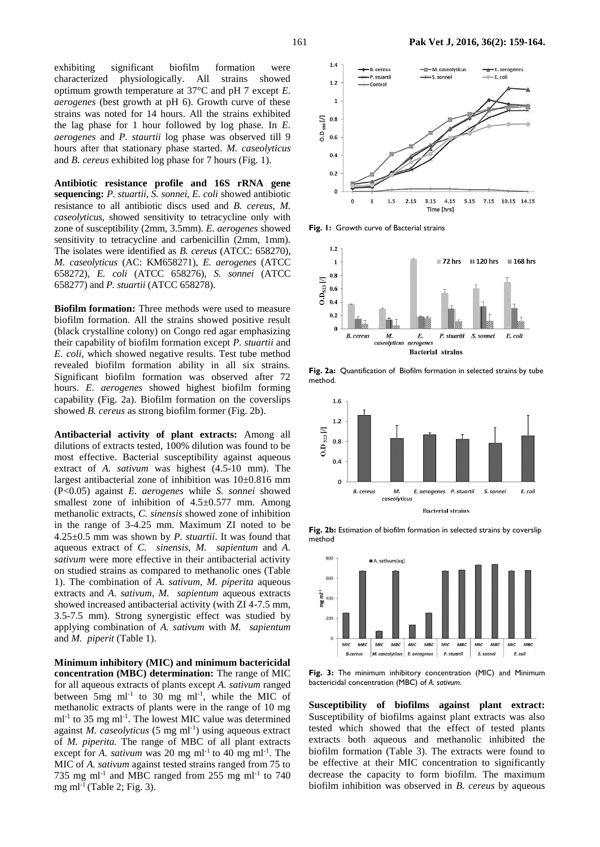exhibiting significant biofilm formation were characterized physiologically. All strains showed optimum growth temperature at 37°C and pH 7 except *E. aerogenes* (best growth at pH 6). Growth curve of these strains was noted for 14 hours. All the strains exhibited the lag phase for 1 hour followed by log phase. In *E. aerogenes* and *P. staurtii* log phase was observed till 9 hours after that stationary phase started. *M. caseolyticus* and *B. cereus* exhibited log phase for 7 hours (Fig. 1).

**Antibiotic resistance profile and 16S rRNA gene sequencing:** *P. stuartii, S. sonnei, E. coli* showed antibiotic resistance to all antibiotic discs used and *B. cereus, M. caseolyticus,* showed sensitivity to tetracycline only with zone of susceptibility (2mm, 3.5mm). *E. aerogenes* showed sensitivity to tetracycline and carbenicillin (2mm, 1mm). The isolates were identified as *B. cereus* (ATCC: 658270), *M. caseolyticus* (AC: KM658271), *E. aerogenes* (ATCC 658272), *E. coli* (ATCC 658276), *S. sonnei* (ATCC 658277) and *P. stuartii* (ATCC 658278).

**Biofilm formation:** Three methods were used to measure biofilm formation. All the strains showed positive result (black crystalline colony) on Congo red agar emphasizing their capability of biofilm formation except *P. stuartii* and *E. coli,* which showed negative results. Test tube method revealed biofilm formation ability in all six strains. Significant biofilm formation was observed after 72 hours. *E. aerogenes* showed highest biofilm forming capability (Fig. 2a). Biofilm formation on the coverslips showed *B. cereus* as strong biofilm former (Fig. 2b).

**Antibacterial activity of plant extracts:** Among all dilutions of extracts tested, 100% dilution was found to be most effective. Bacterial susceptibility against aqueous extract of *A. sativum* was highest (4.5-10 mm). The largest antibacterial zone of inhibition was 10±0.816 mm (P<0.05) against *E. aerogenes* while *S. sonnei* showed smallest zone of inhibition of  $4.5\pm0.577$  mm. Among methanolic extracts, *C. sinensis* showed zone of inhibition in the range of 3-4.25 mm. Maximum ZI noted to be 4.25±0.5 mm was shown by *P. stuartii*. It was found that aqueous extract of *C. sinensis*, *M. sapientum* and *A. sativum* were more effective in their antibacterial activity on studied strains as compared to methanolic ones (Table 1). The combination of *A. sativum*, *M. piperita* aqueous extracts and *A. sativum*, *M. sapientum* aqueous extracts showed increased antibacterial activity (with ZI 4-7.5 mm, 3.5-7.5 mm). Strong synergistic effect was studied by applying combination of *A. sativum* with *M. sapientum* and *M. piperit* (Table 1).

**Minimum inhibitory (MIC) and minimum bactericidal concentration (MBC) determination:** The range of MIC for all aqueous extracts of plants except *A. sativum* ranged between  $5mg$  ml<sup>-1</sup> to 30 mg ml<sup>-1</sup>, while the MIC of methanolic extracts of plants were in the range of 10 mg ml<sup>-1</sup> to 35 mg ml<sup>-1</sup>. The lowest MIC value was determined against *M. caseolyticus* (5 mg ml<sup>-1</sup>) using aqueous extract of *M. piperita.* The range of MBC of all plant extracts except for *A. sativum* was 20 mg  $ml^{-1}$  to 40 mg  $ml^{-1}$ . The MIC of *A. sativum* against tested strains ranged from 75 to 735 mg ml<sup>-1</sup> and MBC ranged from 255 mg ml<sup>-1</sup> to 740 mg ml<sup>-1</sup> (Table 2; Fig. 3).



Fig. 1: Growth curve of Bacterial strains



**Fig. 2a:** Quantification of Biofilm formation in selected strains by tube method.



Fig. 2b: Estimation of biofilm formation in selected strains by coverslip method



**Fig. 3:** The minimum inhibitory concentration (MIC) and Minimum bactericidal concentration (MBC) of *A. sativum.*

**Susceptibility of biofilms against plant extract:**  Susceptibility of biofilms against plant extracts was also tested which showed that the effect of tested plants extracts both aqueous and methanolic inhibited the biofilm formation (Table 3). The extracts were found to be effective at their MIC concentration to significantly decrease the capacity to form biofilm. The maximum biofilm inhibition was observed in *B. cereus* by aqueous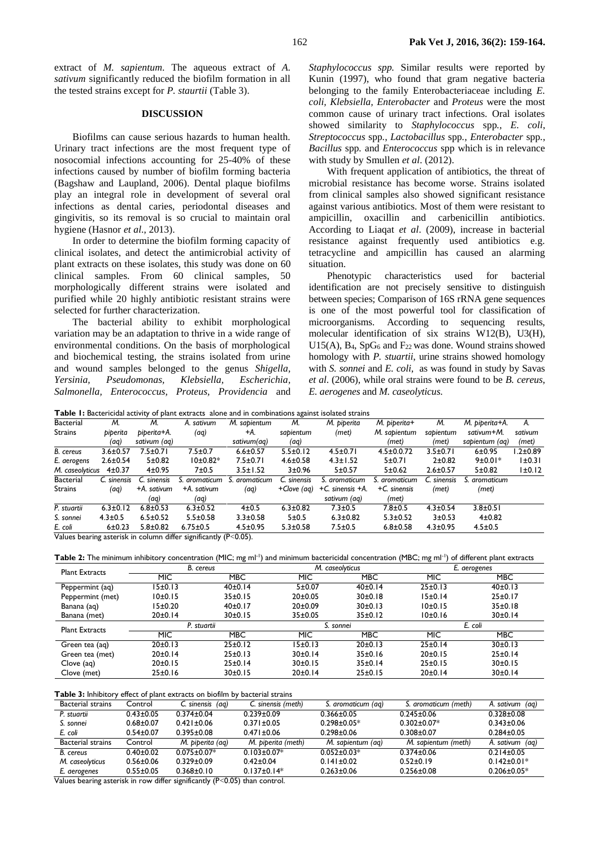extract of *M. sapientum*. The aqueous extract of *A. sativum* significantly reduced the biofilm formation in all the tested strains except for *P. staurtii* (Table 3).

## **DISCUSSION**

Biofilms can cause serious hazards to human health. Urinary tract infections are the most frequent type of nosocomial infections accounting for 25-40% of these infections caused by number of biofilm forming bacteria (Bagshaw and Laupland, 2006). Dental plaque biofilms play an integral role in development of several oral infections as dental caries, periodontal diseases and gingivitis, so its removal is so crucial to maintain oral hygiene (Hasnor *et al*., 2013).

In order to determine the biofilm forming capacity of clinical isolates, and detect the antimicrobial activity of plant extracts on these isolates, this study was done on 60 clinical samples. From 60 clinical samples, 50 morphologically different strains were isolated and purified while 20 highly antibiotic resistant strains were selected for further characterization.

The bacterial ability to exhibit morphological variation may be an adaptation to thrive in a wide range of environmental conditions. On the basis of morphological and biochemical testing, the strains isolated from urine and wound samples belonged to the genus *Shigella, Yersinia, Pseudomonas, Klebsiella, Escherichia, Salmonella, Enterococcus, Proteus, Providencia* and *Staphylococcus spp.* Similar results were reported by Kunin (1997), who found that gram negative bacteria belonging to the family Enterobacteriaceae including *E. coli, Klebsiella, Enterobacter* and *Proteus* were the most common cause of urinary tract infections. Oral isolates showed similarity to *Staphylococcus* spp*.*, *E. coli*, *Streptococcus* spp*.*, *Lactobacillus* spp*.*, *Enterobacter* spp*.*, *Bacillus* spp*.* and *Enterococcus* spp which is in relevance with study by Smullen *et al*. (2012).

With frequent application of antibiotics, the threat of microbial resistance has become worse. Strains isolated from clinical samples also showed significant resistance against various antibiotics. Most of them were resistant to ampicillin, oxacillin and carbenicillin antibiotics. According to Liaqat *et al*. (2009), increase in bacterial resistance against frequently used antibiotics e.g. tetracycline and ampicillin has caused an alarming situation.

Phenotypic characteristics used for bacterial identification are not precisely sensitive to distinguish between species; Comparison of 16S rRNA gene sequences is one of the most powerful tool for classification of microorganisms. According to sequencing results, molecular identification of six strains W12(B), U3(H), U15(A),  $B_4$ , SpG<sub>6</sub> and  $F_{22}$  was done. Wound strains showed homology with *P. stuartii*, urine strains showed homology with *S. sonnei* and *E. coli*,as was found in study by Savas *et al*. (2006), while oral strains were found to be *B. cereus*, *E. aerogenes* and *M. caseolyticus*.

**Table 1:** Bactericidal activity of plant extracts alone and in combinations against isolated strains

| <b>Bacterial</b><br>М.<br>M. sabientum<br>M. piperita+<br>M.<br>M.<br>M. piperita<br>M. piperita+A.<br>М.<br>A. sativum<br><b>A</b> .<br>Strains<br>sabientum<br>M. sapientum<br>sabientum<br>piperita+A.<br>sativum+M.<br>piperita<br>(met)<br>+A.<br>(aq)<br>sativum<br>sativum (aq)<br>sativum(ag)<br>sabientum (ag)<br>(met)<br>(met)<br>(aq)<br>(aq)<br>(met)<br>$6 + 0.95$<br>$6.6 \pm 0.57$<br>7.5±0.71<br>$7.5 \pm 0.7$<br>$5.5 \pm 0.12$<br>$4.5 \pm 0.71$<br>$4.5 \pm 0.0.72$<br>$3.5 \pm 0.71$<br>l.2±0.89<br>$3.6 \pm 0.57$<br>$10±0.82*$<br>$7.5 \pm 0.71$<br>$9±0.01*$<br> ±0.3 <br>$2.6 \pm 0.54$<br>5 ± 0.82<br>$4.6 \pm 0.58$<br>$4.3 \pm 1.52$<br>5±0.71<br>$2+0.82$<br>3±0.96<br>7±0.5<br>5±0.57<br>5±0.62<br>5±0.82<br>$1\pm0.12$<br>$4\pm0.37$<br>4±0.95<br>$3.5 \pm 1.52$<br>$2.6 \pm 0.57$<br>M. caseolyticus<br><b>Bacterial</b><br>C. sinensis<br>C. sinensis<br>. aromaticum<br>C. sinensis<br>C. sinensis<br>aromaticum<br>S. aromaticum<br>S. aromaticum<br>S. aromaticum<br>$+C$ . sinensis<br>Strains<br>$+C$ . sinensis $+A$ .<br>+A. sativum<br>(aq)<br>(aq)<br>+A. sativum<br>+Clove (ag)<br>(met)<br>(met)<br>sativum (aq)<br>(met)<br>(aq)<br>(aq)<br>$4.3 \pm 0.54$<br>$6.8 \pm 0.53$<br>$4 + 0.5$<br>$6.3 \pm 0.82$<br>$6.3 \pm 0.12$<br>$6.3 \pm 0.52$<br>$7.3 \pm 0.5$<br>$7.8 + 0.5$<br>$3.8 + 0.5$ |                         |               |                |                |                |       |                |                |            |        |  |
|---------------------------------------------------------------------------------------------------------------------------------------------------------------------------------------------------------------------------------------------------------------------------------------------------------------------------------------------------------------------------------------------------------------------------------------------------------------------------------------------------------------------------------------------------------------------------------------------------------------------------------------------------------------------------------------------------------------------------------------------------------------------------------------------------------------------------------------------------------------------------------------------------------------------------------------------------------------------------------------------------------------------------------------------------------------------------------------------------------------------------------------------------------------------------------------------------------------------------------------------------------------------------------------------------------------------------------------------|-------------------------|---------------|----------------|----------------|----------------|-------|----------------|----------------|------------|--------|--|
|                                                                                                                                                                                                                                                                                                                                                                                                                                                                                                                                                                                                                                                                                                                                                                                                                                                                                                                                                                                                                                                                                                                                                                                                                                                                                                                                             |                         |               |                |                |                |       |                |                |            |        |  |
|                                                                                                                                                                                                                                                                                                                                                                                                                                                                                                                                                                                                                                                                                                                                                                                                                                                                                                                                                                                                                                                                                                                                                                                                                                                                                                                                             |                         |               |                |                |                |       |                |                |            |        |  |
|                                                                                                                                                                                                                                                                                                                                                                                                                                                                                                                                                                                                                                                                                                                                                                                                                                                                                                                                                                                                                                                                                                                                                                                                                                                                                                                                             |                         |               |                |                |                |       |                |                |            |        |  |
|                                                                                                                                                                                                                                                                                                                                                                                                                                                                                                                                                                                                                                                                                                                                                                                                                                                                                                                                                                                                                                                                                                                                                                                                                                                                                                                                             | $\overline{B}$ . cereus |               |                |                |                |       |                |                |            |        |  |
|                                                                                                                                                                                                                                                                                                                                                                                                                                                                                                                                                                                                                                                                                                                                                                                                                                                                                                                                                                                                                                                                                                                                                                                                                                                                                                                                             | E. aerogens             |               |                |                |                |       |                |                |            |        |  |
|                                                                                                                                                                                                                                                                                                                                                                                                                                                                                                                                                                                                                                                                                                                                                                                                                                                                                                                                                                                                                                                                                                                                                                                                                                                                                                                                             |                         |               |                |                |                |       |                |                |            |        |  |
|                                                                                                                                                                                                                                                                                                                                                                                                                                                                                                                                                                                                                                                                                                                                                                                                                                                                                                                                                                                                                                                                                                                                                                                                                                                                                                                                             |                         |               |                |                |                |       |                |                |            |        |  |
|                                                                                                                                                                                                                                                                                                                                                                                                                                                                                                                                                                                                                                                                                                                                                                                                                                                                                                                                                                                                                                                                                                                                                                                                                                                                                                                                             |                         |               |                |                |                |       |                |                |            |        |  |
|                                                                                                                                                                                                                                                                                                                                                                                                                                                                                                                                                                                                                                                                                                                                                                                                                                                                                                                                                                                                                                                                                                                                                                                                                                                                                                                                             |                         |               |                |                |                |       |                |                |            |        |  |
|                                                                                                                                                                                                                                                                                                                                                                                                                                                                                                                                                                                                                                                                                                                                                                                                                                                                                                                                                                                                                                                                                                                                                                                                                                                                                                                                             | P. stuartii             |               |                |                |                |       |                |                |            |        |  |
|                                                                                                                                                                                                                                                                                                                                                                                                                                                                                                                                                                                                                                                                                                                                                                                                                                                                                                                                                                                                                                                                                                                                                                                                                                                                                                                                             | S. sonnei               | $4.3 \pm 0.5$ | $6.5 \pm 0.52$ | $5.5 \pm 0.58$ | $3.3 \pm 0.58$ | 5±0.5 | $6.3 \pm 0.82$ | $5.3 \pm 0.52$ | $3 + 0.53$ | 4±0.82 |  |
| 6±0.23<br>$4.5 \pm 0.95$<br>$4.5 \pm 0.5$<br>$5.3 \pm 0.58$<br>$7.5 \pm 0.5$<br>$6.8 \pm 0.58$<br>$5.8 \pm 0.82$<br>$6.75 \pm 0.5$<br>$4.3 \pm 0.95$<br>E. coli<br>.<br>$\cdots$<br>$\sim$ $\sim$ $\sim$ $\sim$<br>$\sim$ $\sim$ $\sim$ $\sim$ $\sim$                                                                                                                                                                                                                                                                                                                                                                                                                                                                                                                                                                                                                                                                                                                                                                                                                                                                                                                                                                                                                                                                                       |                         |               |                |                |                |       |                |                |            |        |  |

Values bearing asterisk in column differ significantly (P<0.05).

Table 2: The minimum inhibitory concentration (MIC; mg ml<sup>-1</sup>) and minimum bactericidal concentration (MBC; mg ml<sup>-1</sup>) of different plant extracts

| <b>Plant Extracts</b> |            | B. cereus   |            | M. caseolyticus | E. aerogenes  |            |  |
|-----------------------|------------|-------------|------------|-----------------|---------------|------------|--|
|                       | <b>MIC</b> | <b>MBC</b>  | MIC        | <b>MBC</b>      | MIC           | <b>MBC</b> |  |
| Peppermint (aq)       | 15±0.13    | 40±0.14     | 5±0.07     | 40±0.14         | 25±0.13       | 40±0.13    |  |
| Peppermint (met)      | 10±0.15    | 35±0.15     | 20±0.05    | 30±0.18         | 15±0.14       | 25±0.17    |  |
| Banana (aq)           | 15±0.20    | 40±0.17     | 20±0.09    | 30±0.13         | 10±0.15       | 35±0.18    |  |
| Banana (met)          | 20±0.14    | 30±0.15     | 35±0.05    | 35±0.12         | 10±0.16       | 30±0.14    |  |
| <b>Plant Extracts</b> |            | P. stuartii |            | S. sonnei       | E. coli       |            |  |
|                       | <b>MIC</b> | <b>MBC</b>  | <b>MIC</b> | <b>MBC</b>      | <b>MIC</b>    | <b>MBC</b> |  |
| Green tea (aq)        | 20±0.13    | 25±0.12     | 15±0.13    | 20±0.13         | $25 \pm 0.14$ | 30±0.13    |  |
| Green tea (met)       | 20±0.14    | 25±0.13     | 30±0.14    | 35±0.16         | 20±0.15       | 25±0.14    |  |
| $Clove$ $(aq)$        | 20±0.15    | 25±0.14     | 30±0.15    | 35±0.14         | $25 \pm 0.15$ | 30±0.15    |  |
| Clove (met)           | 25±0.16    | 30±0.15     | 20±0.14    | 25±0.15         | 20±0.14       | 30±0.14    |  |

#### **Table 3:** Inhibitory effect of plant extracts on biofilm by bacterial strains

| <b>Bacterial strains</b> | Control         | C. sinensis<br>(aq) | C. sinensis (meth) | S. aromaticum (ag) | S. aromaticum (meth) | A. sativum (ag)   |
|--------------------------|-----------------|---------------------|--------------------|--------------------|----------------------|-------------------|
| P. stuartii              | $0.43 \pm 0.05$ | $0.374 \pm 0.04$    | $0.239 \pm 0.09$   | $0.366 \pm 0.05$   | $0.245 \pm 0.06$     | $0.328 \pm 0.08$  |
| S. sonnei                | $0.68 + 0.07$   | $0.421 \pm 0.06$    | $0.371 \pm 0.05$   | $0.298 \pm 0.05*$  | $0.302 \pm 0.07^*$   | $0.343 \pm 0.06$  |
| E. coli                  | $0.54 \pm 0.07$ | $0.395 \pm 0.08$    | $0.471 \pm 0.06$   | $0.298 \pm 0.06$   | $0.308 \pm 0.07$     | $0.284 \pm 0.05$  |
| <b>Bacterial strains</b> | Control         | M. piperita (ag)    | M. piperita (meth) | M. sapientum (ag)  | M. sabientum (meth)  | A. sativum (ag)   |
| B. cereus                | $0.40 \pm 0.02$ | $0.075 \pm 0.07*$   | $0.103 + 0.07*$    | $0.052 \pm 0.03*$  | $0.374 \pm 0.06$     | $0.214 \pm 0.05$  |
| M. caseolyticus          | $0.56 \pm 0.06$ | $0.329 \pm 0.09$    | $0.42 \pm 0.04$    | $0.141 \pm 0.02$   | $0.52 \pm 0.19$      | $0.142 \pm 0.01*$ |
| E. aerogenes             | $0.55 \pm 0.05$ | $0.368 \pm 0.10$    | $0.137 \pm 0.14*$  | $0.263 \pm 0.06$   | $0.256 \pm 0.08$     | $0.206 \pm 0.05*$ |
|                          |                 |                     |                    |                    |                      |                   |

Values bearing asterisk in row differ significantly (P<0.05) than control.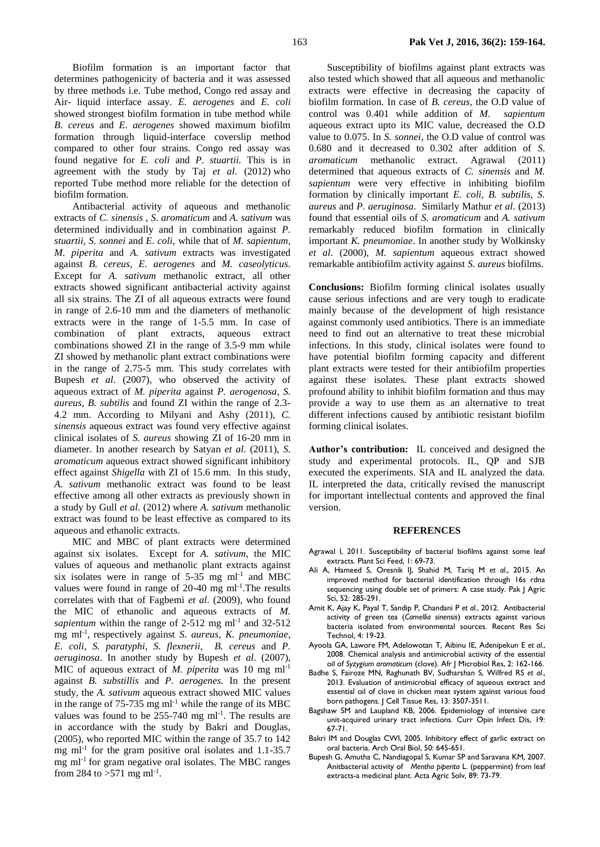Biofilm formation is an important factor that determines pathogenicity of bacteria and it was assessed by three methods i.e. Tube method, Congo red assay and Air- liquid interface assay. *E. aerogenes* and *E. coli*  showed strongest biofilm formation in tube method while *B. cereus* and *E. aerogenes* showed maximum biofilm formation through liquid-interface coverslip method compared to other four strains. Congo red assay was found negative for *E. coli* and *P. stuartii.* This is in agreement with the study by Taj *et al*. (2012) who reported Tube method more reliable for the detection of biofilm formation.

Antibacterial activity of aqueous and methanolic extracts of *C. sinensis* , *S. aromaticum* and *A. sativum* was determined individually and in combination against *P. stuartii, S. sonnei* and *E. coli,* while that of *M. sapientum*, *M. piperita* and *A. sativum* extracts was investigated against *B. cereus, E. aerogenes* and *M. caseolyticus*. Except for *A. sativum* methanolic extract, all other extracts showed significant antibacterial activity against all six strains. The ZI of all aqueous extracts were found in range of 2.6-10 mm and the diameters of methanolic extracts were in the range of 1-5.5 mm. In case of combination of plant extracts, aqueous extract combinations showed ZI in the range of 3.5-9 mm while ZI showed by methanolic plant extract combinations were in the range of 2.75-5 mm. This study correlates with Bupesh *et al*. (2007), who observed the activity of aqueous extract of *M. piperita* against *P. aerogenosa*, *S. aureus*, *B. subtilis* and found ZI within the range of 2.3- 4.2 mm. According to Milyani and Ashy (2011), *C. sinensis* aqueous extract was found very effective against clinical isolates of *S. aureus* showing ZI of 16-20 mm in diameter. In another research by Satyan *et al*. (2011), *S. aromaticum* aqueous extract showed significant inhibitory effect against *Shigella* with ZI of 15.6 mm. In this study, *A. sativum* methanolic extract was found to be least effective among all other extracts as previously shown in a study by Gull *et al*. (2012) where *A. sativum* methanolic extract was found to be least effective as compared to its aqueous and ethanolic extracts.

MIC and MBC of plant extracts were determined against six isolates. Except for *A. sativum*, the MIC values of aqueous and methanolic plant extracts against six isolates were in range of  $5-35$  mg ml<sup>-1</sup> and MBC values were found in range of 20-40 mg ml<sup>-1</sup>. The results correlates with that of Fagbemi *et al*. (2009), who found the MIC of ethanolic and aqueous extracts of *M.*  sapientum within the range of  $2-512$  mg ml<sup>-1</sup> and  $32-512$ mg ml-1 , respectively against *S. aureus, K. pneumoniae, E. coli, S. paratyphi, S. flexnerii, B. cereus* and *P. aeruginosa*. In another study by Bupesh *et al*. (2007), MIC of aqueous extract of *M. piperita* was 10 mg ml-1 against *B. substillis* and *P. aerogenes.* In the present study, the *A. sativum* aqueous extract showed MIC values in the range of  $75-735$  mg ml<sup>-1</sup> while the range of its MBC values was found to be  $255-740$  mg ml<sup>-1</sup>. The results are in accordance with the study by Bakri and Douglas, (2005), who reported MIC within the range of 35.7 to 142 mg  $ml^{-1}$  for the gram positive oral isolates and 1.1-35.7 mg  $ml<sup>-1</sup>$  for gram negative oral isolates. The MBC ranges from 284 to  $>571$  mg ml<sup>-1</sup>.

Susceptibility of biofilms against plant extracts was also tested which showed that all aqueous and methanolic extracts were effective in decreasing the capacity of biofilm formation. In case of *B. cereus,* the O.D value of control was 0.401 while addition of *M. sapientum* aqueous extract upto its MIC value, decreased the O.D value to 0.075. In *S. sonnei*, the O.D value of control was 0.680 and it decreased to 0.302 after addition of *S. aromaticum* methanolic extract. Agrawal (2011) determined that aqueous extracts of *C. sinensis* and *M. sapientum* were very effective in inhibiting biofilm formation by clinically important *E. coli, B. subtilis, S. aureus* and *P. aeruginosa*. Similarly Mathur *et al*. (2013) found that essential oils of *S. aromaticum* and *A. sativum* remarkably reduced biofilm formation in clinically important *K. pneumoniae*. In another study by Wolkinsky *et al*. (2000), *M. sapientum* aqueous extract showed remarkable antibiofilm activity against *S. aureus* biofilms.

**Conclusions:** Biofilm forming clinical isolates usually cause serious infections and are very tough to eradicate mainly because of the development of high resistance against commonly used antibiotics. There is an immediate need to find out an alternative to treat these microbial infections. In this study, clinical isolates were found to have potential biofilm forming capacity and different plant extracts were tested for their antibiofilm properties against these isolates. These plant extracts showed profound ability to inhibit biofilm formation and thus may provide a way to use them as an alternative to treat different infections caused by antibiotic resistant biofilm forming clinical isolates.

**Author's contribution:** IL conceived and designed the study and experimental protocols. IL, QP and SJB executed the experiments. SIA and IL analyzed the data. IL interpreted the data, critically revised the manuscript for important intellectual contents and approved the final version.

#### **REFERENCES**

- Agrawal I, 2011. Susceptibility of bacterial biofilms against some leaf extracts. Plant Sci Feed, 1: 69-73.
- [Ali A,](http://apps.webofknowledge.com/OneClickSearch.do?product=WOS&search_mode=OneClickSearch&excludeEventConfig=ExcludeIfFromFullRecPage&colName=WOS&SID=U2WY36lJIrcIFHj6Tt3&field=AU&value=Ali,%20A) [Hameed S,](http://apps.webofknowledge.com/OneClickSearch.do?product=WOS&search_mode=OneClickSearch&excludeEventConfig=ExcludeIfFromFullRecPage&colName=WOS&SID=U2WY36lJIrcIFHj6Tt3&field=AU&value=Hameed,%20S) [Oresnik IJ,](http://apps.webofknowledge.com/OneClickSearch.do?product=WOS&search_mode=OneClickSearch&excludeEventConfig=ExcludeIfFromFullRecPage&colName=WOS&SID=U2WY36lJIrcIFHj6Tt3&field=AU&value=Oresnik,%20IJ) [Shahid M,](http://apps.webofknowledge.com/OneClickSearch.do?product=WOS&search_mode=OneClickSearch&excludeEventConfig=ExcludeIfFromFullRecPage&colName=WOS&SID=U2WY36lJIrcIFHj6Tt3&field=AU&value=Shahid,%20M) [Tariq M](http://apps.webofknowledge.com/OneClickSearch.do?product=WOS&search_mode=OneClickSearch&excludeEventConfig=ExcludeIfFromFullRecPage&colName=WOS&SID=U2WY36lJIrcIFHj6Tt3&field=AU&value=Tariq,%20M) *et al.*, 2015. An improved method for bacterial identification through 16s rdna sequencing using double set of primers: A case study. Pak J Agric Sci, 52: 285-291.
- Amit K, Ajay K, Payal T, Sandip P, Chandani P *et al.*, 2012. Antibacterial activity of green tea (*Camellia sinensis*) extracts against various bacteria isolated from environmental sources*.* Recent Res Sci Technol, 4: 19-23.
- Ayoola GA, Lawore FM, Adelowotan T, Aibinu IE, Adenipekun E *et al.*, 2008. Chemical analysis and antimicrobial activity of the essential oil of *Syzygium aromaticum* (clove). Afr J Microbiol Res, 2: 162-166.
- Badhe S, Fairoze MN, Raghunath BV, Sudharshan S, Wilfred RS *et al.*, 2013. Evaluation of antimicrobial efficacy of aqueous extract and essential oil of clove in chicken meat system against various food born pathogens*.* J Cell Tissue Res, 13: 3507-3511.
- Bagshaw SM and Laupland KB, 2006. Epidemiology of intensive care unit-acquired urinary tract infections. Curr Opin Infect Dis, 19: 67-71.
- Bakri IM and Douglas CWI, 2005. Inhibitory effect of garlic extract on oral bacteria. Arch Oral Biol, 50: 645-651.
- Bupesh G, Amutha C, Nandiagopal S, Kumar SP and Saravana KM, 2007. Anitbacterial activity of *Mentha piperita* L. (peppermint) from leaf extracts-a medicinal plant. Acta Agric Solv, 89: 73-79.